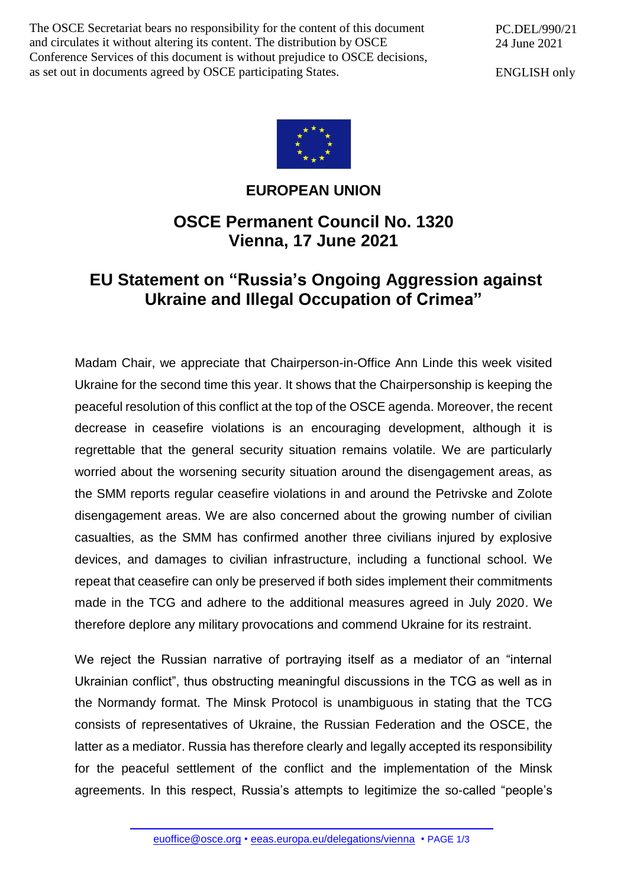The OSCE Secretariat bears no responsibility for the content of this document and circulates it without altering its content. The distribution by OSCE Conference Services of this document is without prejudice to OSCE decisions, as set out in documents agreed by OSCE participating States.

PC.DEL/990/21 24 June 2021

ENGLISH only



## **EUROPEAN UNION**

## **OSCE Permanent Council No. 1320 Vienna, 17 June 2021**

## **EU Statement on "Russia's Ongoing Aggression against Ukraine and Illegal Occupation of Crimea"**

Madam Chair, we appreciate that Chairperson-in-Office Ann Linde this week visited Ukraine for the second time this year. It shows that the Chairpersonship is keeping the peaceful resolution of this conflict at the top of the OSCE agenda. Moreover, the recent decrease in ceasefire violations is an encouraging development, although it is regrettable that the general security situation remains volatile. We are particularly worried about the worsening security situation around the disengagement areas, as the SMM reports regular ceasefire violations in and around the Petrivske and Zolote disengagement areas. We are also concerned about the growing number of civilian casualties, as the SMM has confirmed another three civilians injured by explosive devices, and damages to civilian infrastructure, including a functional school. We repeat that ceasefire can only be preserved if both sides implement their commitments made in the TCG and adhere to the additional measures agreed in July 2020. We therefore deplore any military provocations and commend Ukraine for its restraint.

We reject the Russian narrative of portraying itself as a mediator of an "internal Ukrainian conflict", thus obstructing meaningful discussions in the TCG as well as in the Normandy format. The Minsk Protocol is unambiguous in stating that the TCG consists of representatives of Ukraine, the Russian Federation and the OSCE, the latter as a mediator. Russia has therefore clearly and legally accepted its responsibility for the peaceful settlement of the conflict and the implementation of the Minsk agreements. In this respect, Russia's attempts to legitimize the so-called "people's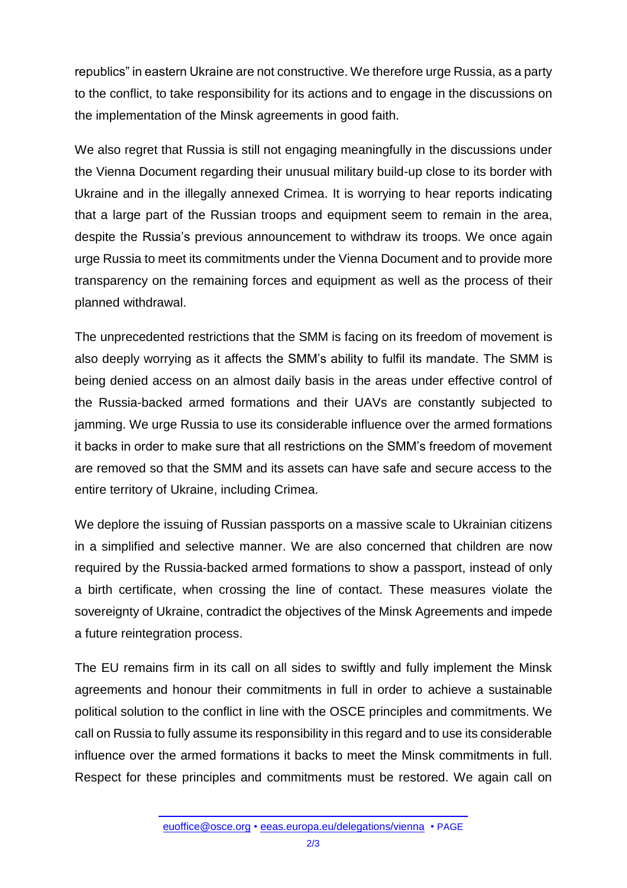republics" in eastern Ukraine are not constructive. We therefore urge Russia, as a party to the conflict, to take responsibility for its actions and to engage in the discussions on the implementation of the Minsk agreements in good faith.

We also regret that Russia is still not engaging meaningfully in the discussions under the Vienna Document regarding their unusual military build-up close to its border with Ukraine and in the illegally annexed Crimea. It is worrying to hear reports indicating that a large part of the Russian troops and equipment seem to remain in the area, despite the Russia's previous announcement to withdraw its troops. We once again urge Russia to meet its commitments under the Vienna Document and to provide more transparency on the remaining forces and equipment as well as the process of their planned withdrawal.

The unprecedented restrictions that the SMM is facing on its freedom of movement is also deeply worrying as it affects the SMM's ability to fulfil its mandate. The SMM is being denied access on an almost daily basis in the areas under effective control of the Russia-backed armed formations and their UAVs are constantly subjected to jamming. We urge Russia to use its considerable influence over the armed formations it backs in order to make sure that all restrictions on the SMM's freedom of movement are removed so that the SMM and its assets can have safe and secure access to the entire territory of Ukraine, including Crimea.

We deplore the issuing of Russian passports on a massive scale to Ukrainian citizens in a simplified and selective manner. We are also concerned that children are now required by the Russia-backed armed formations to show a passport, instead of only a birth certificate, when crossing the line of contact. These measures violate the sovereignty of Ukraine, contradict the objectives of the Minsk Agreements and impede a future reintegration process.

The EU remains firm in its call on all sides to swiftly and fully implement the Minsk agreements and honour their commitments in full in order to achieve a sustainable political solution to the conflict in line with the OSCE principles and commitments. We call on Russia to fully assume its responsibility in this regard and to use its considerable influence over the armed formations it backs to meet the Minsk commitments in full. Respect for these principles and commitments must be restored. We again call on